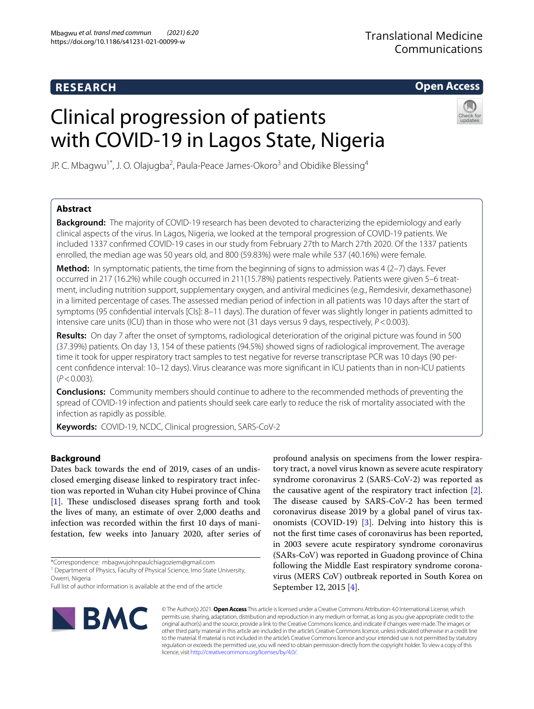# **RESEARCH**

**Open Access**

# Clinical progression of patients with COVID-19 in Lagos State, Nigeria



JP. C. Mbagwu<sup>1\*</sup>, J. O. Olajugba<sup>2</sup>, Paula-Peace James-Okoro<sup>3</sup> and Obidike Blessing<sup>4</sup>

# **Abstract**

**Background:** The majority of COVID-19 research has been devoted to characterizing the epidemiology and early clinical aspects of the virus. In Lagos, Nigeria, we looked at the temporal progression of COVID-19 patients. We included 1337 confrmed COVID-19 cases in our study from February 27th to March 27th 2020. Of the 1337 patients enrolled, the median age was 50 years old, and 800 (59.83%) were male while 537 (40.16%) were female.

**Method:** In symptomatic patients, the time from the beginning of signs to admission was 4 (2-7) days. Fever occurred in 217 (16.2%) while cough occurred in 211(15.78%) patients respectively. Patients were given 5–6 treat‑ ment, including nutrition support, supplementary oxygen, and antiviral medicines (e.g., Remdesivir, dexamethasone) in a limited percentage of cases. The assessed median period of infection in all patients was 10 days after the start of symptoms (95 confdential intervals [CIs]: 8–11 days). The duration of fever was slightly longer in patients admitted to intensive care units (ICU) than in those who were not (31 days versus 9 days, respectively, *P*<0.003).

**Results:** On day 7 after the onset of symptoms, radiological deterioration of the original picture was found in 500 (37.39%) patients. On day 13, 154 of these patients (94.5%) showed signs of radiological improvement. The average time it took for upper respiratory tract samples to test negative for reverse transcriptase PCR was 10 days (90 percent confdence interval: 10–12 days). Virus clearance was more signifcant in ICU patients than in non-ICU patients (*P*<0.003).

**Conclusions:** Community members should continue to adhere to the recommended methods of preventing the spread of COVID-19 infection and patients should seek care early to reduce the risk of mortality associated with the infection as rapidly as possible.

**Keywords:** COVID-19, NCDC, Clinical progression, SARS-CoV-2

## **Background**

Dates back towards the end of 2019, cases of an undisclosed emerging disease linked to respiratory tract infection was reported in Wuhan city Hubei province of China [[1\]](#page-7-0). These undisclosed diseases sprang forth and took the lives of many, an estimate of over 2,000 deaths and infection was recorded within the frst 10 days of manifestation, few weeks into January 2020, after series of

\*Correspondence: mbagwujohnpaulchiagoziem@gmail.com

profound analysis on specimens from the lower respiratory tract, a novel virus known as severe acute respiratory syndrome coronavirus 2 (SARS-CoV-2) was reported as the causative agent of the respiratory tract infection [\[2](#page-7-1)]. The disease caused by SARS-CoV-2 has been termed coronavirus disease 2019 by a global panel of virus taxonomists (COVID-19) [[3\]](#page-7-2). Delving into history this is not the frst time cases of coronavirus has been reported, in 2003 severe acute respiratory syndrome coronavirus (SARs-CoV) was reported in Guadong province of China following the Middle East respiratory syndrome coronavirus (MERS CoV) outbreak reported in South Korea on September 12, 2015 [[4\]](#page-7-3).



© The Author(s) 2021. **Open Access** This article is licensed under a Creative Commons Attribution 4.0 International License, which permits use, sharing, adaptation, distribution and reproduction in any medium or format, as long as you give appropriate credit to the original author(s) and the source, provide a link to the Creative Commons licence, and indicate if changes were made. The images or other third party material in this article are included in the article's Creative Commons licence, unless indicated otherwise in a credit line to the material. If material is not included in the article's Creative Commons licence and your intended use is not permitted by statutory regulation or exceeds the permitted use, you will need to obtain permission directly from the copyright holder. To view a copy of this licence, visit [http://creativecommons.org/licenses/by/4.0/.](http://creativecommons.org/licenses/by/4.0/)

<sup>&</sup>lt;sup>1</sup> Department of Physics, Faculty of Physical Science, Imo State University, Owerri, Nigeria

Full list of author information is available at the end of the article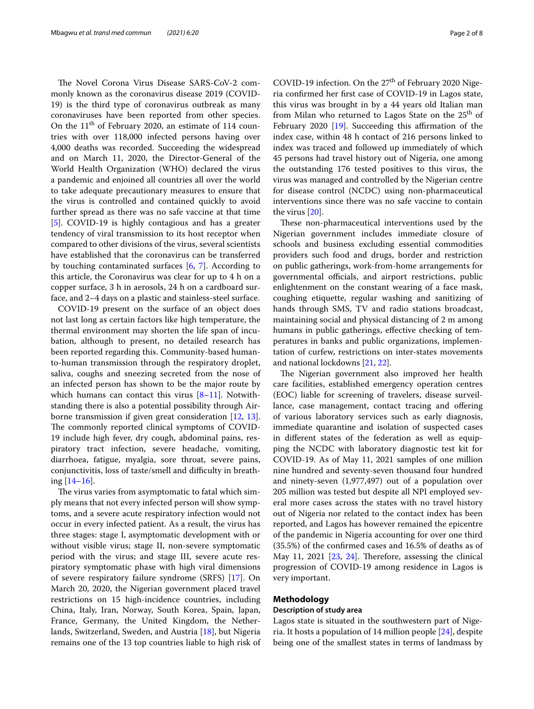The Novel Corona Virus Disease SARS-CoV-2 commonly known as the coronavirus disease 2019 (COVID-19) is the third type of coronavirus outbreak as many coronaviruses have been reported from other species. On the  $11<sup>th</sup>$  of February 2020, an estimate of 114 countries with over 118,000 infected persons having over 4,000 deaths was recorded. Succeeding the widespread and on March 11, 2020, the Director-General of the World Health Organization (WHO) declared the virus a pandemic and enjoined all countries all over the world to take adequate precautionary measures to ensure that the virus is controlled and contained quickly to avoid further spread as there was no safe vaccine at that time [[5\]](#page-7-4). COVID-19 is highly contagious and has a greater tendency of viral transmission to its host receptor when compared to other divisions of the virus, several scientists have established that the coronavirus can be transferred by touching contaminated surfaces [[6,](#page-7-5) [7\]](#page-7-6). According to this article, the Coronavirus was clear for up to 4 h on a copper surface, 3 h in aerosols, 24 h on a cardboard surface, and 2–4 days on a plastic and stainless-steel surface.

COVID-19 present on the surface of an object does not last long as certain factors like high temperature, the thermal environment may shorten the life span of incubation, although to present, no detailed research has been reported regarding this. Community-based humanto-human transmission through the respiratory droplet, saliva, coughs and sneezing secreted from the nose of an infected person has shown to be the major route by which humans can contact this virus  $[8-11]$  $[8-11]$  $[8-11]$ . Notwithstanding there is also a potential possibility through Airborne transmission if given great consideration [[12,](#page-7-9) [13](#page-7-10)]. The commonly reported clinical symptoms of COVID-19 include high fever, dry cough, abdominal pains, respiratory tract infection, severe headache, vomiting, diarrhoea, fatigue, myalgia, sore throat, severe pains, conjunctivitis, loss of taste/smell and difficulty in breathing  $[14–16]$  $[14–16]$  $[14–16]$ .

The virus varies from asymptomatic to fatal which simply means that not every infected person will show symptoms, and a severe acute respiratory infection would not occur in every infected patient. As a result, the virus has three stages: stage I, asymptomatic development with or without visible virus; stage II, non-severe symptomatic period with the virus; and stage III, severe acute respiratory symptomatic phase with high viral dimensions of severe respiratory failure syndrome (SRFS) [[17\]](#page-7-13). On March 20, 2020, the Nigerian government placed travel restrictions on 15 high-incidence countries, including China, Italy, Iran, Norway, South Korea, Spain, Japan, France, Germany, the United Kingdom, the Netherlands, Switzerland, Sweden, and Austria [\[18](#page-7-14)], but Nigeria remains one of the 13 top countries liable to high risk of COVID-19 infection. On the 27<sup>th</sup> of February 2020 Nigeria confrmed her frst case of COVID-19 in Lagos state, this virus was brought in by a 44 years old Italian man from Milan who returned to Lagos State on the  $25<sup>th</sup>$  of February 2020  $[19]$ . Succeeding this affirmation of the index case, within 48 h contact of 216 persons linked to index was traced and followed up immediately of which 45 persons had travel history out of Nigeria, one among the outstanding 176 tested positives to this virus, the virus was managed and controlled by the Nigerian centre for disease control (NCDC) using non-pharmaceutical interventions since there was no safe vaccine to contain the virus [[20\]](#page-7-16).

These non-pharmaceutical interventions used by the Nigerian government includes immediate closure of schools and business excluding essential commodities providers such food and drugs, border and restriction on public gatherings, work-from-home arrangements for governmental officials, and airport restrictions, public enlightenment on the constant wearing of a face mask, coughing etiquette, regular washing and sanitizing of hands through SMS, TV and radio stations broadcast, maintaining social and physical distancing of 2 m among humans in public gatherings, effective checking of temperatures in banks and public organizations, implementation of curfew, restrictions on inter-states movements and national lockdowns [\[21,](#page-7-17) [22](#page-7-18)].

The Nigerian government also improved her health care facilities, established emergency operation centres (EOC) liable for screening of travelers, disease surveillance, case management, contact tracing and offering of various laboratory services such as early diagnosis, immediate quarantine and isolation of suspected cases in diferent states of the federation as well as equipping the NCDC with laboratory diagnostic test kit for COVID-19. As of May 11, 2021 samples of one million nine hundred and seventy-seven thousand four hundred and ninety-seven (1,977,497) out of a population over 205 million was tested but despite all NPI employed several more cases across the states with no travel history out of Nigeria nor related to the contact index has been reported, and Lagos has however remained the epicentre of the pandemic in Nigeria accounting for over one third (35.5%) of the confrmed cases and 16.5% of deaths as of May 11, 2021 [[23,](#page-7-19) [24\]](#page-7-20). Therefore, assessing the clinical progression of COVID-19 among residence in Lagos is very important.

#### **Methodology**

#### **Description of study area**

Lagos state is situated in the southwestern part of Nigeria. It hosts a population of 14 million people [\[24\]](#page-7-20), despite being one of the smallest states in terms of landmass by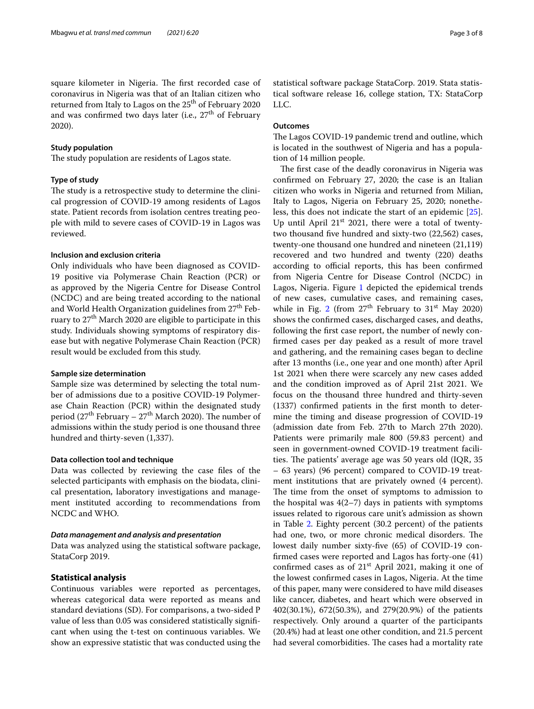square kilometer in Nigeria. The first recorded case of coronavirus in Nigeria was that of an Italian citizen who returned from Italy to Lagos on the 25<sup>th</sup> of February 2020 and was confirmed two days later (i.e.,  $27<sup>th</sup>$  of February 2020).

#### **Study population**

The study population are residents of Lagos state.

#### **Type of study**

The study is a retrospective study to determine the clinical progression of COVID-19 among residents of Lagos state. Patient records from isolation centres treating people with mild to severe cases of COVID-19 in Lagos was reviewed.

#### **Inclusion and exclusion criteria**

Only individuals who have been diagnosed as COVID-19 positive via Polymerase Chain Reaction (PCR) or as approved by the Nigeria Centre for Disease Control (NCDC) and are being treated according to the national and World Health Organization guidelines from  $27<sup>th</sup>$  February to 27<sup>th</sup> March 2020 are eligible to participate in this study. Individuals showing symptoms of respiratory disease but with negative Polymerase Chain Reaction (PCR) result would be excluded from this study.

#### **Sample size determination**

Sample size was determined by selecting the total number of admissions due to a positive COVID-19 Polymerase Chain Reaction (PCR) within the designated study period ( $27<sup>th</sup>$  February –  $27<sup>th</sup>$  March 2020). The number of admissions within the study period is one thousand three hundred and thirty-seven (1,337).

#### **Data collection tool and technique**

Data was collected by reviewing the case fles of the selected participants with emphasis on the biodata, clinical presentation, laboratory investigations and management instituted according to recommendations from NCDC and WHO.

#### *Data management and analysis and presentation*

Data was analyzed using the statistical software package, StataCorp 2019.

#### **Statistical analysis**

Continuous variables were reported as percentages, whereas categorical data were reported as means and standard deviations (SD). For comparisons, a two-sided P value of less than 0.05 was considered statistically signifcant when using the t-test on continuous variables. We show an expressive statistic that was conducted using the statistical software package StataCorp. 2019. Stata statistical software release 16, college station, TX: StataCorp LLC.

#### **Outcomes**

The Lagos COVID-19 pandemic trend and outline, which is located in the southwest of Nigeria and has a population of 14 million people.

The first case of the deadly coronavirus in Nigeria was confrmed on February 27, 2020; the case is an Italian citizen who works in Nigeria and returned from Milian, Italy to Lagos, Nigeria on February 25, 2020; nonetheless, this does not indicate the start of an epidemic [\[25](#page-7-21)]. Up until April  $21<sup>st</sup>$  2021, there were a total of twentytwo thousand fve hundred and sixty-two (22,562) cases, twenty-one thousand one hundred and nineteen (21,119) recovered and two hundred and twenty (220) deaths according to official reports, this has been confirmed from Nigeria Centre for Disease Control (NCDC) in Lagos, Nigeria. Figure [1](#page-3-0) depicted the epidemical trends of new cases, cumulative cases, and remaining cases, while in Fig. [2](#page-3-1) (from  $27<sup>th</sup>$  February to  $31<sup>st</sup>$  May 2020) shows the confrmed cases, discharged cases, and deaths, following the frst case report, the number of newly confrmed cases per day peaked as a result of more travel and gathering, and the remaining cases began to decline after 13 months (i.e., one year and one month) after April 1st 2021 when there were scarcely any new cases added and the condition improved as of April 21st 2021. We focus on the thousand three hundred and thirty-seven (1337) confrmed patients in the frst month to determine the timing and disease progression of COVID-19 (admission date from Feb. 27th to March 27th 2020). Patients were primarily male 800 (59.83 percent) and seen in government-owned COVID-19 treatment facilities. The patients' average age was 50 years old  $(IQR, 35)$ – 63 years) (96 percent) compared to COVID-19 treatment institutions that are privately owned (4 percent). The time from the onset of symptoms to admission to the hospital was  $4(2-7)$  days in patients with symptoms issues related to rigorous care unit's admission as shown in Table [2.](#page-5-0) Eighty percent (30.2 percent) of the patients had one, two, or more chronic medical disorders. The lowest daily number sixty-fve (65) of COVID-19 confrmed cases were reported and Lagos has forty-one (41) confirmed cases as of 21<sup>st</sup> April 2021, making it one of the lowest confrmed cases in Lagos, Nigeria. At the time of this paper, many were considered to have mild diseases like cancer, diabetes, and heart which were observed in 402(30.1%), 672(50.3%), and 279(20.9%) of the patients respectively. Only around a quarter of the participants (20.4%) had at least one other condition, and 21.5 percent had several comorbidities. The cases had a mortality rate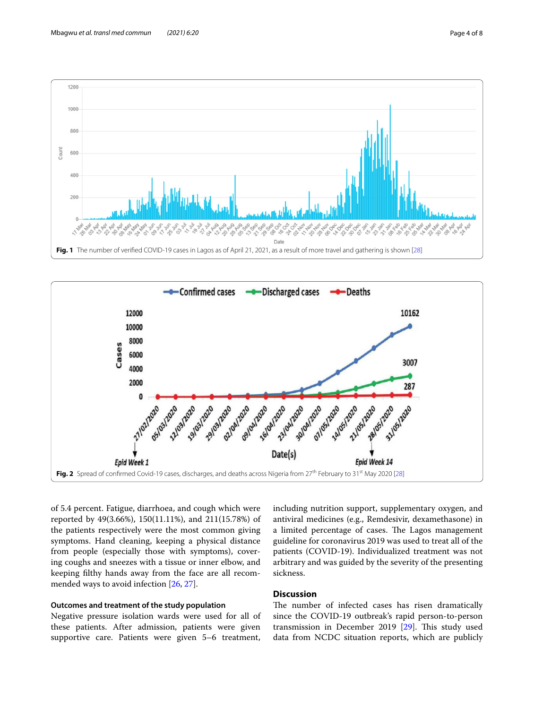

<span id="page-3-0"></span>

<span id="page-3-1"></span>of 5.4 percent. Fatigue, diarrhoea, and cough which were reported by 49(3.66%), 150(11.11%), and 211(15.78%) of the patients respectively were the most common giving symptoms. Hand cleaning, keeping a physical distance from people (especially those with symptoms), covering coughs and sneezes with a tissue or inner elbow, and keeping flthy hands away from the face are all recommended ways to avoid infection [\[26](#page-7-22), [27](#page-7-23)].

### **Outcomes and treatment of the study population**

Negative pressure isolation wards were used for all of these patients. After admission, patients were given supportive care. Patients were given 5–6 treatment,

including nutrition support, supplementary oxygen, and antiviral medicines (e.g., Remdesivir, dexamethasone) in a limited percentage of cases. The Lagos management guideline for coronavirus 2019 was used to treat all of the patients (COVID-19). Individualized treatment was not arbitrary and was guided by the severity of the presenting sickness.

# **Discussion**

The number of infected cases has risen dramatically since the COVID-19 outbreak's rapid person-to-person transmission in December 2019  $[29]$ . This study used data from NCDC situation reports, which are publicly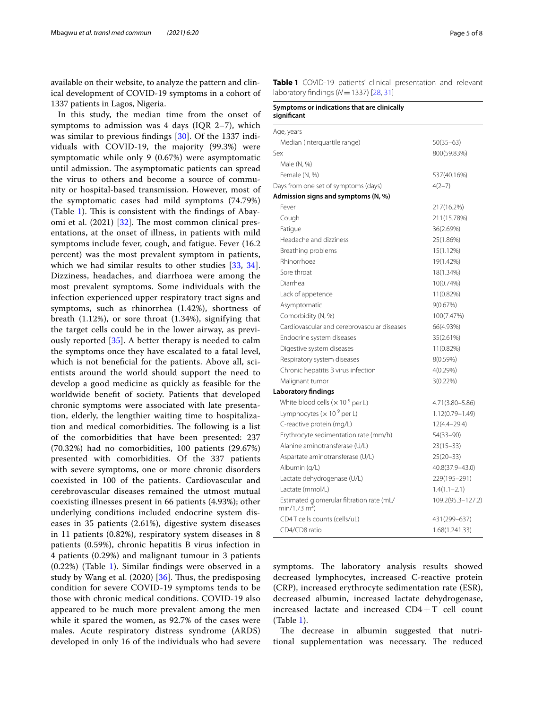available on their website, to analyze the pattern and clinical development of COVID-19 symptoms in a cohort of 1337 patients in Lagos, Nigeria.

In this study, the median time from the onset of symptoms to admission was 4 days (IQR 2–7), which was similar to previous fndings [\[30](#page-7-26)]. Of the 1337 individuals with COVID-19, the majority (99.3%) were symptomatic while only 9 (0.67%) were asymptomatic until admission. The asymptomatic patients can spread the virus to others and become a source of community or hospital-based transmission. However, most of the symptomatic cases had mild symptoms (74.79%) (Table [1](#page-4-0)). This is consistent with the findings of Abayomi et al.  $(2021)$   $[32]$  $[32]$ . The most common clinical presentations, at the onset of illness, in patients with mild symptoms include fever, cough, and fatigue. Fever (16.2 percent) was the most prevalent symptom in patients, which we had similar results to other studies [[33,](#page-7-28) [34](#page-7-29)]. Dizziness, headaches, and diarrhoea were among the most prevalent symptoms. Some individuals with the infection experienced upper respiratory tract signs and symptoms, such as rhinorrhea (1.42%), shortness of breath (1.12%), or sore throat (1.34%), signifying that the target cells could be in the lower airway, as previously reported [\[35](#page-7-30)]. A better therapy is needed to calm the symptoms once they have escalated to a fatal level, which is not beneficial for the patients. Above all, scientists around the world should support the need to develop a good medicine as quickly as feasible for the worldwide beneft of society. Patients that developed chronic symptoms were associated with late presentation, elderly, the lengthier waiting time to hospitalization and medical comorbidities. The following is a list of the comorbidities that have been presented: 237 (70.32%) had no comorbidities, 100 patients (29.67%) presented with comorbidities. Of the 337 patients with severe symptoms, one or more chronic disorders coexisted in 100 of the patients. Cardiovascular and cerebrovascular diseases remained the utmost mutual coexisting illnesses present in 66 patients (4.93%); other underlying conditions included endocrine system diseases in 35 patients (2.61%), digestive system diseases in 11 patients (0.82%), respiratory system diseases in 8 patients (0.59%), chronic hepatitis B virus infection in 4 patients (0.29%) and malignant tumour in 3 patients (0.22%) (Table [1\)](#page-4-0). Similar fndings were observed in a study by Wang et al.  $(2020)$  [ $36$ ]. Thus, the predisposing condition for severe COVID-19 symptoms tends to be those with chronic medical conditions. COVID-19 also appeared to be much more prevalent among the men while it spared the women, as 92.7% of the cases were males. Acute respiratory distress syndrome (ARDS) developed in only 16 of the individuals who had severe <span id="page-4-0"></span>**Table 1** COVID-19 patients' clinical presentation and relevant laboratory fndings (*N*=1337) [\[28,](#page-7-25) [31](#page-7-32)]

| Symptoms or indications that are clinically<br>sianificant             |                    |
|------------------------------------------------------------------------|--------------------|
| Age, years                                                             |                    |
| Median (interquartile range)                                           | $50(35-63)$        |
| Sex                                                                    | 800(59.83%)        |
| Male (N, %)                                                            |                    |
| Female (N, %)                                                          | 537(40.16%)        |
| Days from one set of symptoms (days)                                   | $4(2-7)$           |
| Admission signs and symptoms (N, %)                                    |                    |
| Fever                                                                  | 217(16.2%)         |
| Cough                                                                  | 211(15.78%)        |
| Fatigue                                                                | 36(2.69%)          |
| Headache and dizziness                                                 | 25(1.86%)          |
| Breathing problems                                                     | 15(1.12%)          |
| Rhinorrhoea                                                            | 19(1.42%)          |
| Sore throat                                                            | 18(1.34%)          |
| Diarrhea                                                               | 10(0.74%)          |
| Lack of appetence                                                      | 11(0.82%)          |
| Asymptomatic                                                           | 9(0.67%)           |
| Comorbidity (N, %)                                                     | 100(7.47%)         |
| Cardiovascular and cerebrovascular diseases                            | 66(4.93%)          |
| Endocrine system diseases                                              | 35(2.61%)          |
| Digestive system diseases                                              | 11(0.82%)          |
| Respiratory system diseases                                            | 8(0.59%)           |
| Chronic hepatitis B virus infection                                    | 4(0.29%)           |
| Malignant tumor                                                        | $3(0.22\%)$        |
| Laboratory findings                                                    |                    |
| White blood cells ( $\times$ 10 <sup>9</sup> per L)                    | 4.71 (3.80 - 5.86) |
| Lymphocytes ( $\times$ 10 $^{9}$ per L)                                | 1.12(0.79-1.49)    |
| C-reactive protein (mg/L)                                              | 12(4.4-29.4)       |
| Erythrocyte sedimentation rate (mm/h)                                  | $54(33 - 90)$      |
| Alanine aminotransferase (U/L)                                         | $23(15-33)$        |
| Aspartate aminotransferase (U/L)                                       | $25(20-33)$        |
| Albumin (g/L)                                                          | 40.8(37.9-43.0)    |
| Lactate dehydrogenase (U/L)                                            | 229(195-291)       |
| Lactate (mmol/L)                                                       | $1.4(1.1 - 2.1)$   |
| Estimated glomerular filtration rate (mL/<br>min/1.73 m <sup>2</sup> ) | 109.2(95.3-127.2)  |
| CD4 T cells counts (cells/uL)                                          | 431(299-637)       |
| CD4/CD8 ratio                                                          | 1.68(1.241.33)     |

symptoms. The laboratory analysis results showed decreased lymphocytes, increased C-reactive protein (CRP), increased erythrocyte sedimentation rate (ESR), decreased albumin, increased lactate dehydrogenase, increased lactate and increased CD4+T cell count (Table [1](#page-4-0)).

The decrease in albumin suggested that nutritional supplementation was necessary. The reduced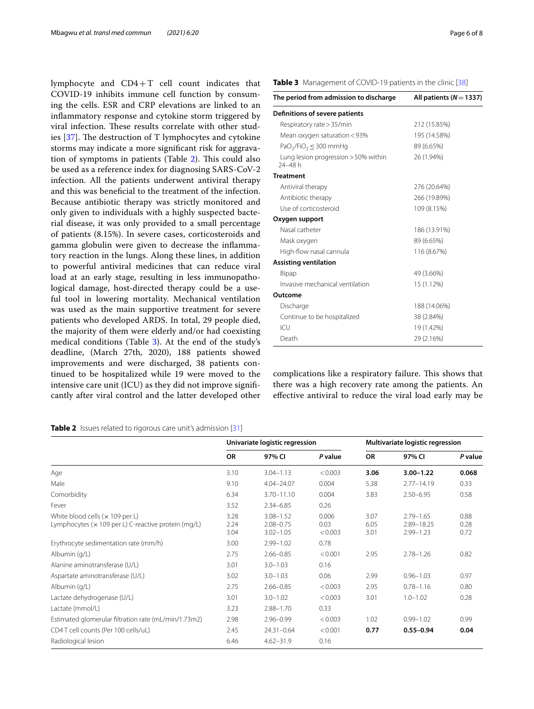lymphocyte and CD4+T cell count indicates that COVID-19 inhibits immune cell function by consuming the cells. ESR and CRP elevations are linked to an infammatory response and cytokine storm triggered by viral infection. These results correlate with other studies  $[37]$  $[37]$ . The destruction of T lymphocytes and cytokine storms may indicate a more signifcant risk for aggrava-tion of symptoms in patients (Table [2\)](#page-5-0). This could also be used as a reference index for diagnosing SARS-CoV-2 infection. All the patients underwent antiviral therapy and this was benefcial to the treatment of the infection. Because antibiotic therapy was strictly monitored and only given to individuals with a highly suspected bacterial disease, it was only provided to a small percentage of patients (8.15%). In severe cases, corticosteroids and gamma globulin were given to decrease the infammatory reaction in the lungs. Along these lines, in addition to powerful antiviral medicines that can reduce viral load at an early stage, resulting in less immunopathological damage, host-directed therapy could be a useful tool in lowering mortality. Mechanical ventilation was used as the main supportive treatment for severe patients who developed ARDS. In total, 29 people died, the majority of them were elderly and/or had coexisting medical conditions (Table [3\)](#page-5-1). At the end of the study's deadline, (March 27th, 2020), 188 patients showed improvements and were discharged, 38 patients continued to be hospitalized while 19 were moved to the intensive care unit (ICU) as they did not improve signifcantly after viral control and the latter developed other

# <span id="page-5-0"></span>**Table 2** Issues related to rigorous care unit's admission [[31](#page-7-32)]

| <b>Table 2</b> ISSUES FEIRING TO HYDROUS CARE WHILE AUTHISSION [31]                            |                                |                                                 |                          |                                  |                                              |                      |  |  |  |
|------------------------------------------------------------------------------------------------|--------------------------------|-------------------------------------------------|--------------------------|----------------------------------|----------------------------------------------|----------------------|--|--|--|
|                                                                                                | Univariate logistic regression |                                                 |                          | Multivariate logistic regression |                                              |                      |  |  |  |
|                                                                                                | <b>OR</b>                      | 97% CI                                          | P value                  | <b>OR</b>                        | 97% CI                                       | P value              |  |  |  |
| Age                                                                                            | 3.10                           | $3.04 - 1.13$                                   | < 0.003                  | 3.06                             | $3.00 - 1.22$                                | 0.068                |  |  |  |
| Male                                                                                           | 9.10                           | $4.04 - 24.07$                                  | 0.004                    | 5.38                             | $2.77 - 14.19$                               | 0.33                 |  |  |  |
| Comorbidity                                                                                    | 6.34                           | 3.70-11.10                                      | 0.004                    | 3.83                             | $2.50 - 6.95$                                | 0.58                 |  |  |  |
| Fever                                                                                          | 3.52                           | $2.34 - 6.85$                                   | 0.26                     |                                  |                                              |                      |  |  |  |
| White blood cells ( $\times$ 109 per L)<br>Lymphocytes (× 109 per L) C-reactive protein (mg/L) | 3.28<br>2.24<br>3.04           | $3.08 - 1.52$<br>$2.08 - 0.75$<br>$3.02 - 1.05$ | 0.006<br>0.03<br>< 0.003 | 3.07<br>6.05<br>3.01             | $2.79 - 1.65$<br>2.89-18.25<br>$2.99 - 1.23$ | 0.88<br>0.28<br>0.72 |  |  |  |
| Erythrocyte sedimentation rate (mm/h)                                                          | 3.00                           | $2.99 - 1.02$                                   | 0.78                     |                                  |                                              |                      |  |  |  |
| Albumin (g/L)                                                                                  | 2.75                           | $2.66 - 0.85$                                   | < 0.001                  | 2.95                             | $2.78 - 1.26$                                | 0.82                 |  |  |  |
| Alanine aminotransferase (U/L)                                                                 | 3.01                           | $3.0 - 1.03$                                    | 0.16                     |                                  |                                              |                      |  |  |  |
| Aspartate aminotransferase (U/L)                                                               | 3.02                           | $3.0 - 1.03$                                    | 0.06                     | 2.99                             | $0.96 - 1.03$                                | 0.97                 |  |  |  |
| Albumin (g/L)                                                                                  | 2.75                           | $2.66 - 0.85$                                   | < 0.003                  | 2.95                             | $0.78 - 1.16$                                | 0.80                 |  |  |  |
| Lactate dehydrogenase (U/L)                                                                    | 3.01                           | $3.0 - 1.02$                                    | < 0.003                  | 3.01                             | $1.0 - 1.02$                                 | 0.28                 |  |  |  |
| Lactate (mmol/L)                                                                               | 3.23                           | $2.88 - 1.70$                                   | 0.33                     |                                  |                                              |                      |  |  |  |
| Estimated glomerular filtration rate (mL/min/1.73m2)                                           | 2.98                           | $2.96 - 0.99$                                   | < 0.003                  | 1.02                             | $0.99 - 1.02$                                | 0.99                 |  |  |  |

CD4 T cell counts (Per 100 cells/uL) 2.45 24.31–0.64 <0.001 **0.77 0.55–0.94 0.04**

Radiological lesion 6.46 4.62–31.9 0.16

#### <span id="page-5-1"></span>**Table 3** Management of COVID-19 patients in the clinic [[38\]](#page-7-34)

| The period from admission to discharge             | All patients ( $N = 1337$ ) |
|----------------------------------------------------|-----------------------------|
| Definitions of severe patients                     |                             |
| Respiratory rate > 35/min                          | 212 (15.85%)                |
| Mean oxygen saturation < 93%                       | 195 (14.58%)                |
| PaO <sub>2</sub> /FiO <sub>2</sub> $\leq$ 300 mmHg | 89 (6.65%)                  |
| Lung lesion progression $>$ 50% within<br>24-48 h  | 26 (1.94%)                  |
| <b>Treatment</b>                                   |                             |
| Antiviral therapy                                  | 276 (20.64%)                |
| Antibiotic therapy                                 | 266 (19.89%)                |
| Use of corticosteroid                              | 109 (8.15%)                 |
| Oxygen support                                     |                             |
| Nasal catheter                                     | 186 (13.91%)                |
| Mask oxygen                                        | 89 (6.65%)                  |
| High-flow nasal cannula                            | 116 (8.67%)                 |
| <b>Assisting ventilation</b>                       |                             |
| Bipap                                              | 49 (3.66%)                  |
| Invasive mechanical ventilation                    | 15 (1.12%)                  |
| Outcome                                            |                             |
| Discharge                                          | 188 (14.06%)                |
| Continue to be hospitalized                        | 38 (2.84%)                  |
| ICU                                                | 19 (1.42%)                  |
| Death                                              | 29 (2.16%)                  |

complications like a respiratory failure. This shows that there was a high recovery rate among the patients. An efective antiviral to reduce the viral load early may be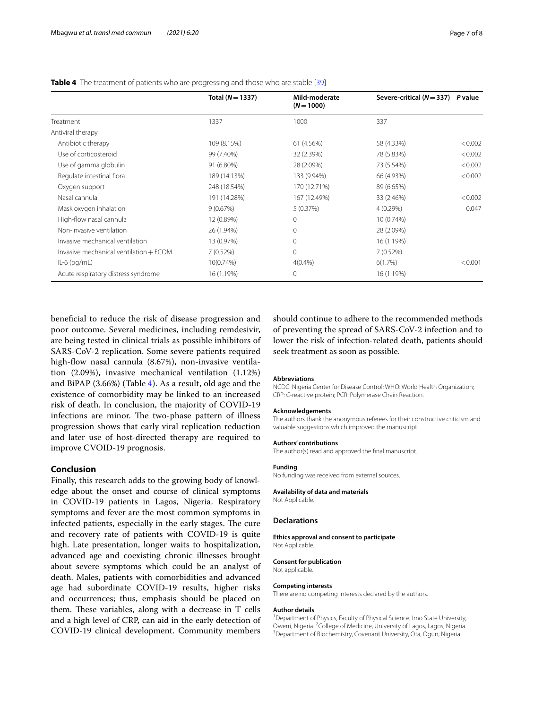|                                        | Total $(N = 1337)$ | Mild-moderate<br>$(N = 1000)$ | Severe-critical ( $N = 337$ ) P value |         |
|----------------------------------------|--------------------|-------------------------------|---------------------------------------|---------|
| Treatment                              | 1337               | 1000                          | 337                                   |         |
| Antiviral therapy                      |                    |                               |                                       |         |
| Antibiotic therapy                     | 109 (8.15%)        | 61 (4.56%)                    | 58 (4.33%)                            | < 0.002 |
| Use of corticosteroid                  | 99 (7.40%)         | 32 (2.39%)                    | 78 (5.83%)                            | < 0.002 |
| Use of gamma globulin                  | 91 (6.80%)         | 28 (2.09%)                    | 73 (5.54%)                            | < 0.002 |
| Regulate intestinal flora              | 189 (14.13%)       | 133 (9.94%)                   | 66 (4.93%)                            | < 0.002 |
| Oxygen support                         | 248 (18.54%)       | 170 (12.71%)                  | 89 (6.65%)                            |         |
| Nasal cannula                          | 191 (14.28%)       | 167 (12.49%)                  | 33 (2.46%)                            | < 0.002 |
| Mask oxygen inhalation                 | 9(0.67%)           | 5(0.37%)                      | 4(0.29%)                              | 0.047   |
| High-flow nasal cannula                | 12 (0.89%)         | $\mathbf{0}$                  | 10 (0.74%)                            |         |
| Non-invasive ventilation               | 26 (1.94%)         | $\mathbf{0}$                  | 28 (2.09%)                            |         |
| Invasive mechanical ventilation        | 13 (0.97%)         | $\mathbf{0}$                  | 16 (1.19%)                            |         |
| Invasive mechanical ventilation + ECOM | 7(0.52%)           | $\mathbf{0}$                  | 7(0.52%)                              |         |
| $IL-6$ (pg/mL)                         | 10(0.74%)          | 4(0.4%                        | 6(1.7%)                               | < 0.001 |
| Acute respiratory distress syndrome    | 16 (1.19%)         | $\mathbf 0$                   | 16 (1.19%)                            |         |

#### <span id="page-6-0"></span>**Table 4** The treatment of patients who are progressing and those who are stable [[39\]](#page-7-35)

benefcial to reduce the risk of disease progression and poor outcome. Several medicines, including remdesivir, are being tested in clinical trials as possible inhibitors of SARS-CoV-2 replication. Some severe patients required high-fow nasal cannula (8.67%), non-invasive ventilation (2.09%), invasive mechanical ventilation (1.12%) and BiPAP (3.66%) (Table [4](#page-6-0)). As a result, old age and the existence of comorbidity may be linked to an increased risk of death. In conclusion, the majority of COVID-19 infections are minor. The two-phase pattern of illness progression shows that early viral replication reduction and later use of host-directed therapy are required to improve CVOID-19 prognosis.

#### **Conclusion**

Finally, this research adds to the growing body of knowledge about the onset and course of clinical symptoms in COVID-19 patients in Lagos, Nigeria. Respiratory symptoms and fever are the most common symptoms in infected patients, especially in the early stages. The cure and recovery rate of patients with COVID-19 is quite high. Late presentation, longer waits to hospitalization, advanced age and coexisting chronic illnesses brought about severe symptoms which could be an analyst of death. Males, patients with comorbidities and advanced age had subordinate COVID-19 results, higher risks and occurrences; thus, emphasis should be placed on them. These variables, along with a decrease in  $T$  cells and a high level of CRP, can aid in the early detection of COVID-19 clinical development. Community members

should continue to adhere to the recommended methods of preventing the spread of SARS-CoV-2 infection and to lower the risk of infection-related death, patients should seek treatment as soon as possible.

#### **Abbreviations**

NCDC: Nigeria Center for Disease Control; WHO: World Health Organization; CRP: C-reactive protein; PCR: Polymerase Chain Reaction.

#### **Acknowledgements**

**Authors' contributions**

The authors thank the anonymous referees for their constructive criticism and valuable suggestions which improved the manuscript.

The author(s) read and approved the fnal manuscript.

#### **Funding**

No funding was received from external sources.

#### **Availability of data and materials**

Not Applicable.

#### **Declarations**

**Ethics approval and consent to participate** Not Applicable.

**Consent for publication**

Not applicable.

#### **Competing interests**

There are no competing interests declared by the authors.

#### **Author details**

<sup>1</sup> Department of Physics, Faculty of Physical Science, Imo State University, Owerri, Nigeria. <sup>2</sup>College of Medicine, University of Lagos, Lagos, Nigeria.<br><sup>3</sup> Department of Biochemistry, Covenant University, Ota, Ogun, Nigeria. <sup>3</sup> Department of Biochemistry, Covenant University, Ota, Ogun, Nigeria.